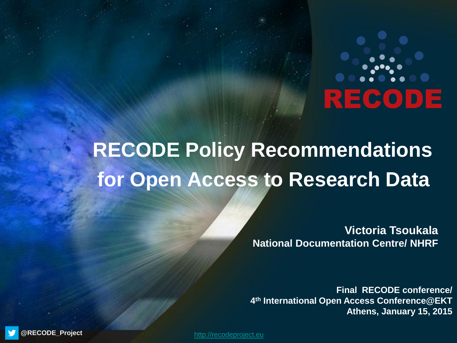# RECODE

## **RECODE Policy Recommendations for Open Access to Research Data**

**Victoria Tsoukala National Documentation Centre/ NHRF** 

**Final RECODE conference/ 4 th International Open Access Conference@EKT Athens, January 15, 2015**

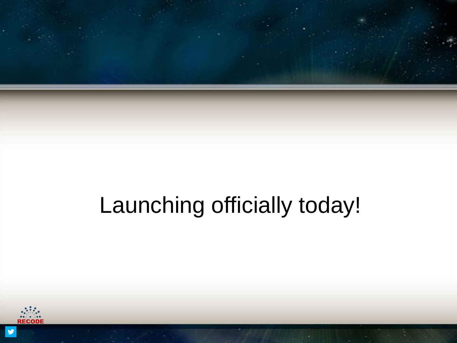

# Launching officially today!

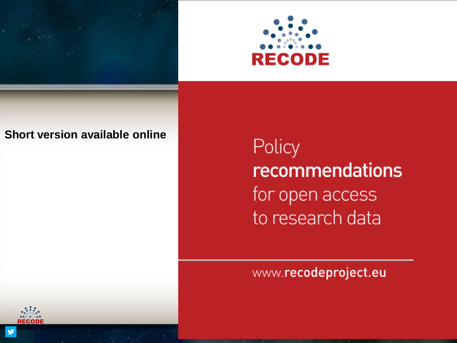



#### **Short version available online**

Policy recommendations for open access to research data

#### www.recodeproject.eu

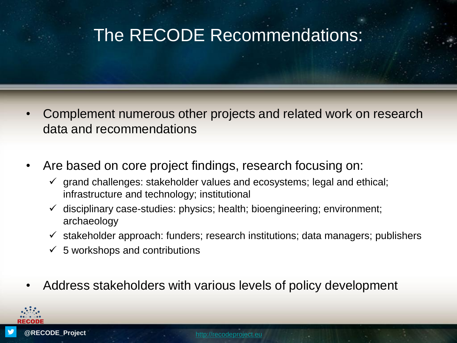#### The RECODE Recommendations:

- Complement numerous other projects and related work on research data and recommendations
- Are based on core project findings, research focusing on:
	- $\checkmark$  grand challenges: stakeholder values and ecosystems; legal and ethical; infrastructure and technology; institutional
	- $\checkmark$  disciplinary case-studies: physics; health; bioengineering; environment; archaeology
	- $\checkmark$  stakeholder approach: funders; research institutions; data managers; publishers
	- $\checkmark$  5 workshops and contributions
- Address stakeholders with various levels of policy development

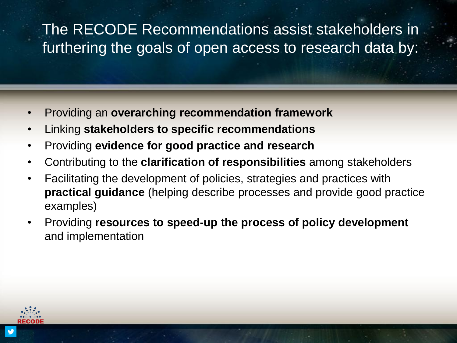#### The RECODE Recommendations assist stakeholders in furthering the goals of open access to research data by:

- Providing an **overarching recommendation framework**
- Linking **stakeholders to specific recommendations**
- Providing **evidence for good practice and research**
- Contributing to the **clarification of responsibilities** among stakeholders
- Facilitating the development of policies, strategies and practices with **practical guidance** (helping describe processes and provide good practice examples)
- Providing **resources to speed-up the process of policy development**  and implementation

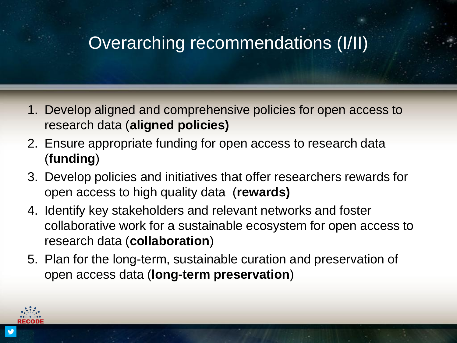### Overarching recommendations (I/II)

- 1. Develop aligned and comprehensive policies for open access to research data (**aligned policies)**
- 2. Ensure appropriate funding for open access to research data (**funding**)
- 3. Develop policies and initiatives that offer researchers rewards for open access to high quality data (**rewards)**
- 4. Identify key stakeholders and relevant networks and foster collaborative work for a sustainable ecosystem for open access to research data (**collaboration**)
- 5. Plan for the long-term, sustainable curation and preservation of open access data (**long-term preservation**)

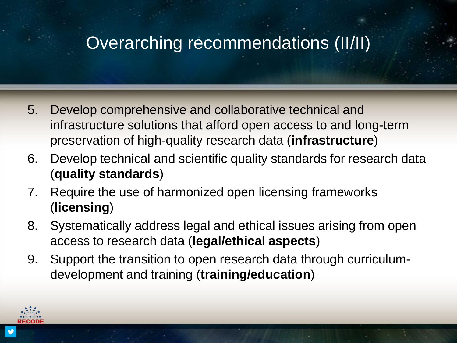### Overarching recommendations (II/II)

- 5. Develop comprehensive and collaborative technical and infrastructure solutions that afford open access to and long-term preservation of high-quality research data (**infrastructure**)
- 6. Develop technical and scientific quality standards for research data (**quality standards**)
- 7. Require the use of harmonized open licensing frameworks (**licensing**)
- 8. Systematically address legal and ethical issues arising from open access to research data (**legal/ethical aspects**)
- 9. Support the transition to open research data through curriculumdevelopment and training (**training/education**)

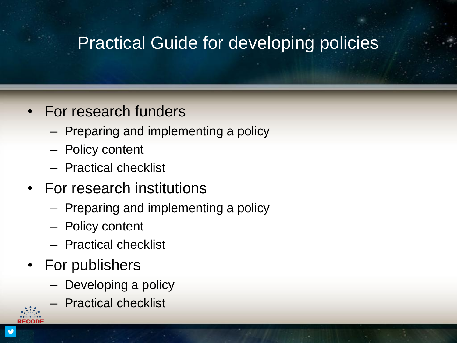### Practical Guide for developing policies

#### • For research funders

- Preparing and implementing a policy
- Policy content
- Practical checklist
- For research institutions
	- Preparing and implementing a policy
	- Policy content
	- Practical checklist
- For publishers
	- Developing a policy
	- Practical checklist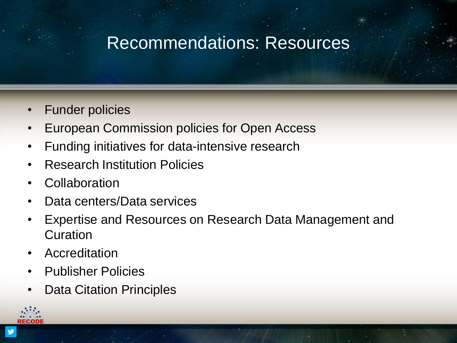### Recommendations: Resources

- Funder policies
- European Commission policies for Open Access
- Funding initiatives for data-intensive research
- Research Institution Policies
- Collaboration
- Data centers/Data services
- Expertise and Resources on Research Data Management and **Curation**
- **Accreditation**
- Publisher Policies
- **Data Citation Principles**

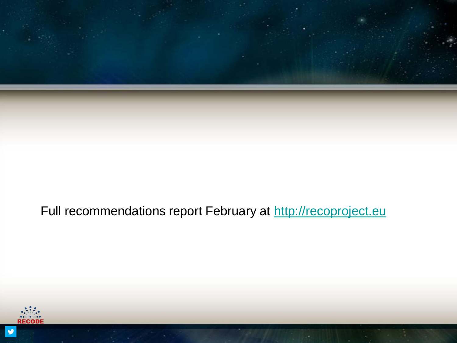

#### Full recommendations report February at [http://recoproject.eu](http://recoproject.eu/)